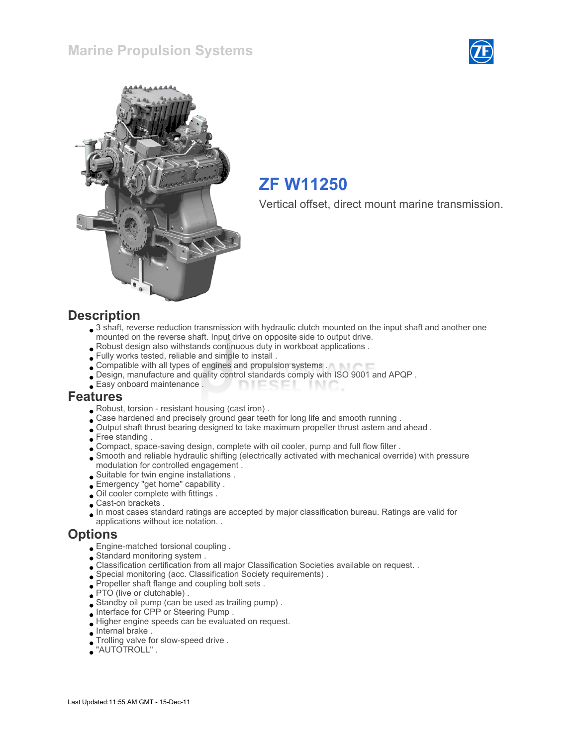



# ZF W11250

Vertical offset, direct mount marine transmission.

#### **Description**

- 3 shaft, reverse reduction transmission with hydraulic clutch mounted on the input shaft and another one mounted on the reverse shaft. Input drive on opposite side to output drive.
- Robust design also withstands continuous duty in workboat applications .
- Fully works tested, reliable and simple to install .
- Compatible with all types of engines and propulsion systems .
- Design, manufacture and quality control standards comply with ISO 9001 and APQP .
- Easy onboard maintenance . **DIESEI** INIC

#### Features

- Robust, torsion resistant housing (cast iron) .
- . Case hardened and precisely ground gear teeth for long life and smooth running .
- Output shaft thrust bearing designed to take maximum propeller thrust astern and ahead .
- Free standing .
- Compact, space-saving design, complete with oil cooler, pump and full flow filter .
- Smooth and reliable hydraulic shifting (electrically activated with mechanical override) with pressure modulation for controlled engagement .
- Suitable for twin engine installations .
- Emergency "get home" capability .
- Oil cooler complete with fittings .
- Cast-on brackets .
- In most cases standard ratings are accepted by major classification bureau. Ratings are valid for applications without ice notation. .

#### **Options**

- Engine-matched torsional coupling .
- Standard monitoring system .
- Classification certification from all major Classification Societies available on request. .
- Special monitoring (acc. Classification Society requirements) .
- Propeller shaft flange and coupling bolt sets .
- PTO (live or clutchable).
- Standby oil pump (can be used as trailing pump) .
- Interface for CPP or Steering Pump .
- Higher engine speeds can be evaluated on request.
- Internal brake .
- Trolling valve for slow-speed drive .
- "AUTOTROLL" .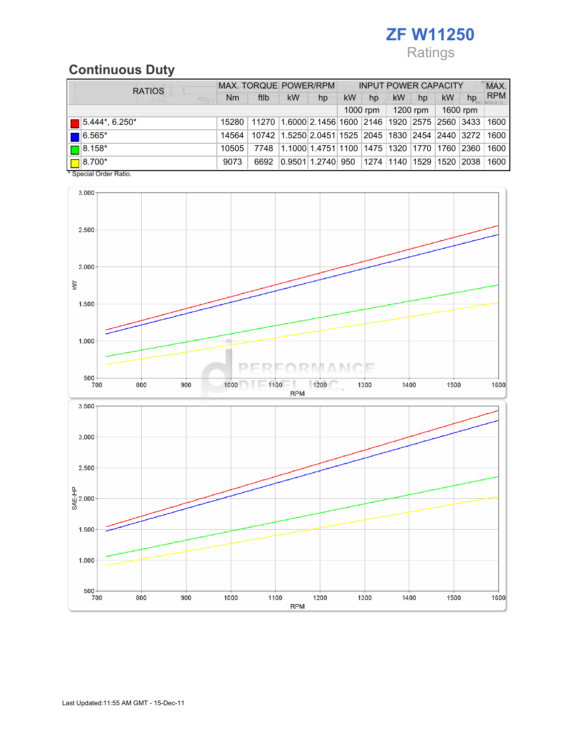# ZF W11250 Ratings

# Continuous Duty

|  | <b>RATIOS</b>                                                     | <b>MAX. TORQUE POWER/RPM</b> |                                                                                  |                                                        | <b>INPUT POWER CAPACITY</b> |           |          |           |          |           | MAX.                         |                |
|--|-------------------------------------------------------------------|------------------------------|----------------------------------------------------------------------------------|--------------------------------------------------------|-----------------------------|-----------|----------|-----------|----------|-----------|------------------------------|----------------|
|  | <b>FEBA</b>                                                       |                              | ftlb                                                                             | kW                                                     | hp                          | <b>kW</b> | hp       | <b>kW</b> | hp       | <b>kW</b> | hp                           | <b>RPM</b>     |
|  |                                                                   |                              |                                                                                  |                                                        |                             |           | 1000 rpm |           | 1200 rpm |           | 1600 rpm                     |                |
|  | $\blacksquare$ 5.444*, 6.250*                                     |                              | 15280   11270   1.6000   2.1456   1600   2146   1920   2575   2560   3433   1600 |                                                        |                             |           |          |           |          |           |                              |                |
|  | $\blacksquare$ 6.565*                                             | 14564                        |                                                                                  | 10742 1.5250 2.0451 1525 2045 1830 2454 2440 3272 1600 |                             |           |          |           |          |           |                              |                |
|  | $\Box$ 8.158*                                                     | 10505                        | 7748                                                                             | 11.1000 1.4751 1100 11475 11320 11770 11760 2360       |                             |           |          |           |          |           |                              | $ 1600\rangle$ |
|  | $\Box$ 8.700*<br>$\sim$ $\sim$ $\sim$ $\sim$ $\sim$ $\sim$ $\sim$ | 9073                         | 6692                                                                             | 0.9501 1.2740  950                                     |                             |           |          |           |          |           | 1274  1140  1529  1520  2038 | 1600           |

\* Special Order Ratio.

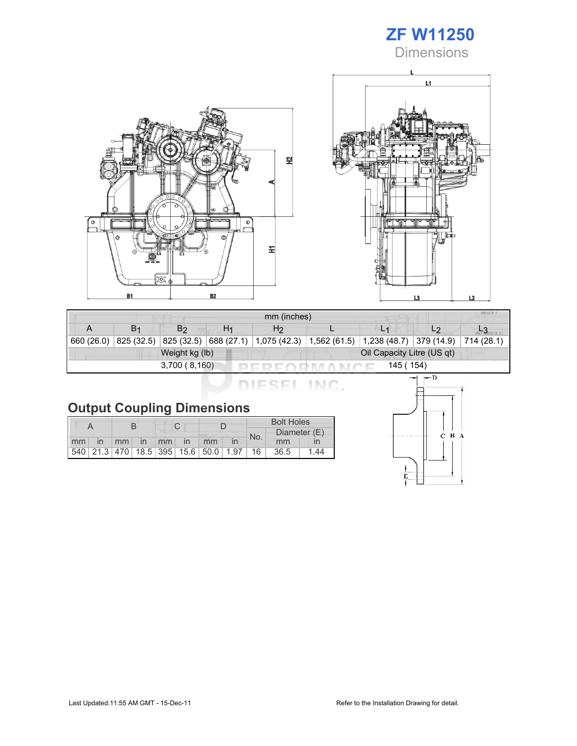# ZF W11250

**Dimensions** 





| mm (inches) |                |                |    |                                                 |  |                                            |                |  |  |  |
|-------------|----------------|----------------|----|-------------------------------------------------|--|--------------------------------------------|----------------|--|--|--|
|             | B <sub>1</sub> | B2             | H1 | H <sub>2</sub>                                  |  |                                            | L <sub>2</sub> |  |  |  |
| 660 (26.0)  | 825 (32.5)     |                |    | 825 (32.5) 688 (27.1) 1,075 (42.3) 1,562 (61.5) |  | $\vert 1,238$ (48.7) 379 (14.9) 714 (28.1) |                |  |  |  |
|             |                | Weight kg (lb) |    | Oil Capacity Litre (US qt)                      |  |                                            |                |  |  |  |
|             |                | 3,700(8,160)   |    |                                                 |  | 145 ( 154)                                 |                |  |  |  |

DIESEL INC.

# Output Coupling Dimensions

|       |  |  |  |  |             |                                         |  | <b>Bolt Holes</b> |              |      |  |
|-------|--|--|--|--|-------------|-----------------------------------------|--|-------------------|--------------|------|--|
|       |  |  |  |  |             |                                         |  | No.               | Diameter (E) |      |  |
| mm in |  |  |  |  | mm in mm in | mm                                      |  |                   | mm           |      |  |
|       |  |  |  |  |             | 540 21.3 470 18.5 395 15.6 50.0 1.97 16 |  |                   | 36.5         | 1 44 |  |